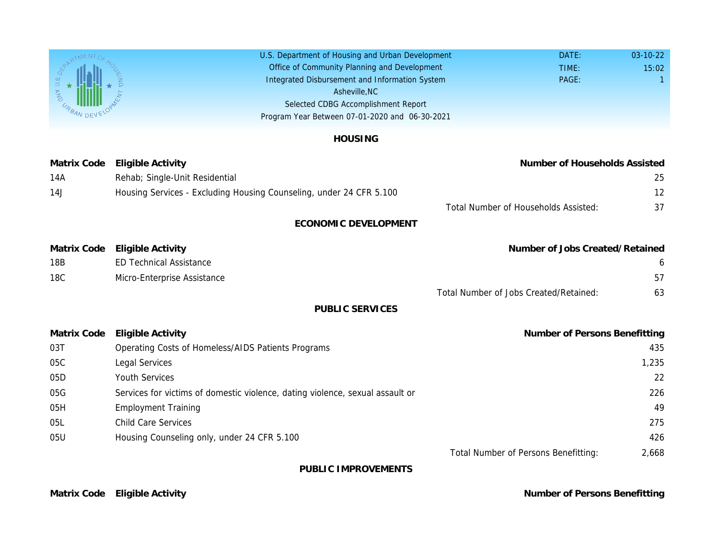U.S. Department of Housing and Urban Development Office of Community Planning and Development Integrated Disbursement and Information System Selected CDBG Accomplishment Report Program Year Between 07-01-2020 and 06-30-2021 Asheville,NC

|  | <b>HOUSING</b> |  |
|--|----------------|--|
|  |                |  |

| <b>Matrix Code</b> | <b>Eligible Activity</b>                                                      | Number                              |
|--------------------|-------------------------------------------------------------------------------|-------------------------------------|
| 14A                | Rehab; Single-Unit Residential                                                |                                     |
| 14J                | Housing Services - Excluding Housing Counseling, under 24 CFR 5.100           |                                     |
|                    |                                                                               | <b>Total Number of Household</b>    |
|                    | <b>ECONOMIC DEVELOPMENT</b>                                                   |                                     |
| <b>Matrix Code</b> | <b>Eligible Activity</b>                                                      | Number of J                         |
| 18B                | <b>ED Technical Assistance</b>                                                |                                     |
| 18C                | Micro-Enterprise Assistance                                                   |                                     |
|                    |                                                                               | <b>Total Number of Jobs Created</b> |
|                    | <b>PUBLIC SERVICES</b>                                                        |                                     |
| <b>Matrix Code</b> | <b>Eligible Activity</b>                                                      | Number                              |
| 03T                | Operating Costs of Homeless/AIDS Patients Programs                            |                                     |
| 05C                | <b>Legal Services</b>                                                         |                                     |
| 05D                | <b>Youth Services</b>                                                         |                                     |
| 05G                | Services for victims of domestic violence, dating violence, sexual assault or |                                     |
| 05H                | <b>Employment Training</b>                                                    |                                     |
| 05L                | <b>Child Care Services</b>                                                    |                                     |
| 05U                | Housing Counseling only, under 24 CFR 5.100                                   |                                     |
|                    |                                                                               | <b>Total Number of Persons I</b>    |
|                    |                                                                               |                                     |

PUBLIC IMPROVEMENTS

Matrix Code Eligible Activity **Number of Persons Benefits Benefits Benefits Benefits Benefits Benefits Benefits**